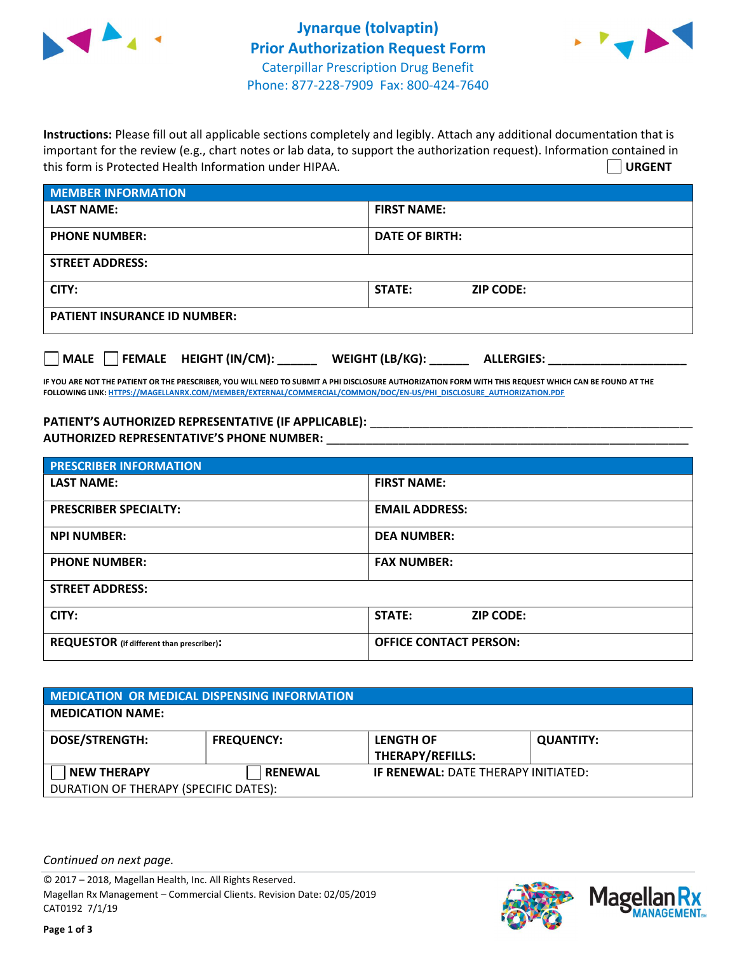



Instructions: Please fill out all applicable sections completely and legibly. Attach any additional documentation that is important for the review (e.g., chart notes or lab data, to support the authorization request). Information contained in this form is Protected Health Information under HIPAA. URGENT

| <b>MEMBER INFORMATION</b>           |                                   |  |  |
|-------------------------------------|-----------------------------------|--|--|
| <b>LAST NAME:</b>                   | <b>FIRST NAME:</b>                |  |  |
| <b>PHONE NUMBER:</b>                | <b>DATE OF BIRTH:</b>             |  |  |
| <b>STREET ADDRESS:</b>              |                                   |  |  |
| CITY:                               | <b>STATE:</b><br><b>ZIP CODE:</b> |  |  |
| <b>PATIENT INSURANCE ID NUMBER:</b> |                                   |  |  |
|                                     |                                   |  |  |

IF YOU ARE NOT THE PATIENT OR THE PRESCRIBER, YOU WILL NEED TO SUBMIT A PHI DISCLOSURE AUTHORIZATION FORM WITH THIS REQUEST WHICH CAN BE FOUND AT THE FOLLOWING LINK: HTTPS://MAGELLANRX.COM/MEMBER/EXTERNAL/COMMERCIAL/COMMON/DOC/EN-US/PHI\_DISCLOSURE\_AUTHORIZATION.PDF

MALE FEMALE HEIGHT (IN/CM): \_\_\_\_\_\_ WEIGHT (LB/KG): \_\_\_\_\_\_ ALLERGIES: \_\_\_\_\_\_\_\_\_\_\_\_\_\_\_\_\_\_\_\_\_

PATIENT'S AUTHORIZED REPRESENTATIVE (IF APPLICABLE): \_\_\_\_\_\_\_\_\_\_\_\_\_\_\_\_\_\_\_\_\_\_\_\_\_\_\_ AUTHORIZED REPRESENTATIVE'S PHONE NUMBER:

| <b>PRESCRIBER INFORMATION</b>             |                               |  |  |
|-------------------------------------------|-------------------------------|--|--|
| <b>LAST NAME:</b>                         | <b>FIRST NAME:</b>            |  |  |
| <b>PRESCRIBER SPECIALTY:</b>              | <b>EMAIL ADDRESS:</b>         |  |  |
| <b>NPI NUMBER:</b>                        | <b>DEA NUMBER:</b>            |  |  |
| <b>PHONE NUMBER:</b>                      | <b>FAX NUMBER:</b>            |  |  |
| <b>STREET ADDRESS:</b>                    |                               |  |  |
| CITY:                                     | STATE:<br><b>ZIP CODE:</b>    |  |  |
| REQUESTOR (if different than prescriber): | <b>OFFICE CONTACT PERSON:</b> |  |  |

| <b>MEDICATION OR MEDICAL DISPENSING INFORMATION</b> |                   |                                             |                  |  |  |
|-----------------------------------------------------|-------------------|---------------------------------------------|------------------|--|--|
| <b>MEDICATION NAME:</b>                             |                   |                                             |                  |  |  |
| <b>DOSE/STRENGTH:</b>                               | <b>FREQUENCY:</b> | <b>LENGTH OF</b><br><b>THERAPY/REFILLS:</b> | <b>QUANTITY:</b> |  |  |
| <b>NEW THERAPY</b>                                  | <b>RENEWAL</b>    | <b>IF RENEWAL: DATE THERAPY INITIATED:</b>  |                  |  |  |
| DURATION OF THERAPY (SPECIFIC DATES):               |                   |                                             |                  |  |  |

Continued on next page.

© 2017 – 2018, Magellan Health, Inc. All Rights Reserved. Magellan Rx Management – Commercial Clients. Revision Date: 02/05/2019 CAT0192 7/1/19



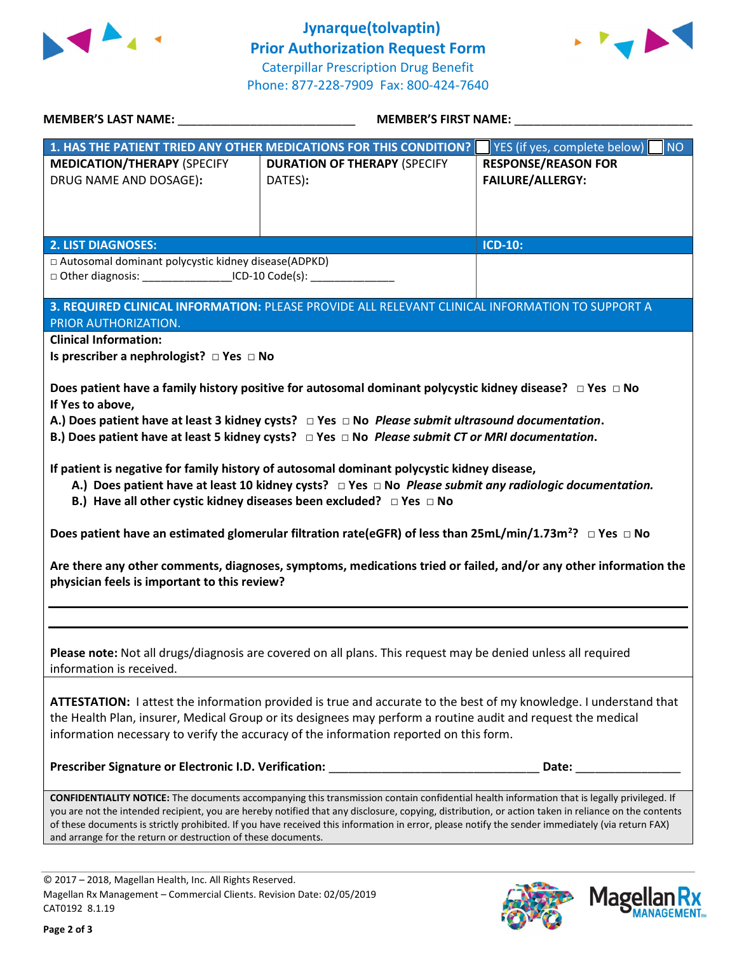

 Jynarque(tolvaptin) Prior Authorization Request Form Caterpillar Prescription Drug Benefit Phone: 877-228-7909 Fax: 800-424-7640



| <b>MEMBER'S LAST NAME:</b>                                                                                                                                                                                                                                                                                                                                                                                                                                                                                                     | <b>MEMBER'S FIRST NAME:</b>                                                                                                     |                                                       |  |  |
|--------------------------------------------------------------------------------------------------------------------------------------------------------------------------------------------------------------------------------------------------------------------------------------------------------------------------------------------------------------------------------------------------------------------------------------------------------------------------------------------------------------------------------|---------------------------------------------------------------------------------------------------------------------------------|-------------------------------------------------------|--|--|
|                                                                                                                                                                                                                                                                                                                                                                                                                                                                                                                                | 1. HAS THE PATIENT TRIED ANY OTHER MEDICATIONS FOR THIS CONDITION?                                                              | <b>NO</b><br>YES (if yes, complete below)             |  |  |
| <b>MEDICATION/THERAPY (SPECIFY</b><br>DRUG NAME AND DOSAGE):                                                                                                                                                                                                                                                                                                                                                                                                                                                                   | <b>DURATION OF THERAPY (SPECIFY</b><br>DATES):                                                                                  | <b>RESPONSE/REASON FOR</b><br><b>FAILURE/ALLERGY:</b> |  |  |
| <b>2. LIST DIAGNOSES:</b>                                                                                                                                                                                                                                                                                                                                                                                                                                                                                                      |                                                                                                                                 | <b>ICD-10:</b>                                        |  |  |
| □ Autosomal dominant polycystic kidney disease(ADPKD)<br>□ Other diagnosis: _____________________ICD-10 Code(s): ________                                                                                                                                                                                                                                                                                                                                                                                                      |                                                                                                                                 |                                                       |  |  |
| PRIOR AUTHORIZATION.                                                                                                                                                                                                                                                                                                                                                                                                                                                                                                           | 3. REQUIRED CLINICAL INFORMATION: PLEASE PROVIDE ALL RELEVANT CLINICAL INFORMATION TO SUPPORT A                                 |                                                       |  |  |
| <b>Clinical Information:</b><br>Is prescriber a nephrologist? $\Box$ Yes $\Box$ No                                                                                                                                                                                                                                                                                                                                                                                                                                             |                                                                                                                                 |                                                       |  |  |
| Does patient have a family history positive for autosomal dominant polycystic kidney disease? $\Box$ Yes $\Box$ No<br>If Yes to above,<br>A.) Does patient have at least 3 kidney cysts? $\Box$ Yes $\Box$ No <i>Please submit ultrasound documentation</i> .<br>B.) Does patient have at least 5 kidney cysts? $\Box$ Yes $\Box$ No <i>Please submit CT or MRI documentation</i> .                                                                                                                                            |                                                                                                                                 |                                                       |  |  |
| If patient is negative for family history of autosomal dominant polycystic kidney disease,<br>A.) Does patient have at least 10 kidney cysts? $\Box$ Yes $\Box$ No <i>Please submit any radiologic documentation.</i><br>B.) Have all other cystic kidney diseases been excluded? $\Box$ Yes $\Box$ No                                                                                                                                                                                                                         |                                                                                                                                 |                                                       |  |  |
|                                                                                                                                                                                                                                                                                                                                                                                                                                                                                                                                | Does patient have an estimated glomerular filtration rate(eGFR) of less than 25mL/min/1.73m <sup>2</sup> ? $\Box$ Yes $\Box$ No |                                                       |  |  |
| Are there any other comments, diagnoses, symptoms, medications tried or failed, and/or any other information the<br>physician feels is important to this review?                                                                                                                                                                                                                                                                                                                                                               |                                                                                                                                 |                                                       |  |  |
|                                                                                                                                                                                                                                                                                                                                                                                                                                                                                                                                |                                                                                                                                 |                                                       |  |  |
| Please note: Not all drugs/diagnosis are covered on all plans. This request may be denied unless all required<br>information is received.                                                                                                                                                                                                                                                                                                                                                                                      |                                                                                                                                 |                                                       |  |  |
| ATTESTATION: I attest the information provided is true and accurate to the best of my knowledge. I understand that<br>the Health Plan, insurer, Medical Group or its designees may perform a routine audit and request the medical<br>information necessary to verify the accuracy of the information reported on this form.                                                                                                                                                                                                   |                                                                                                                                 |                                                       |  |  |
| Prescriber Signature or Electronic I.D. Verification:                                                                                                                                                                                                                                                                                                                                                                                                                                                                          |                                                                                                                                 | Date:                                                 |  |  |
| <b>CONFIDENTIALITY NOTICE:</b> The documents accompanying this transmission contain confidential health information that is legally privileged. If<br>you are not the intended recipient, you are hereby notified that any disclosure, copying, distribution, or action taken in reliance on the contents<br>of these documents is strictly prohibited. If you have received this information in error, please notify the sender immediately (via return FAX)<br>and arrange for the return or destruction of these documents. |                                                                                                                                 |                                                       |  |  |

© 2017 – 2018, Magellan Health, Inc. All Rights Reserved. Magellan Rx Management – Commercial Clients. Revision Date: 02/05/2019 CAT0192 8.1.19